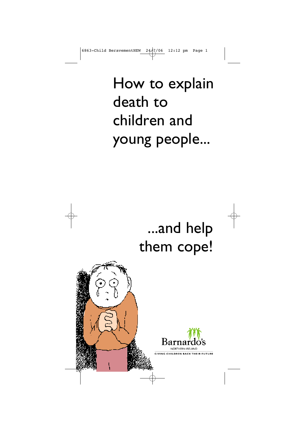How to explain death to children and young people...

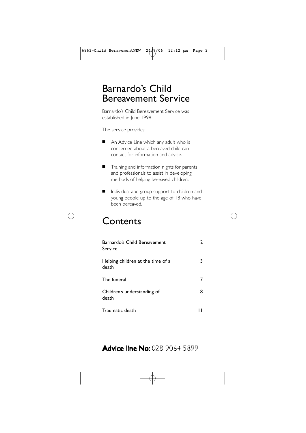## Barnardo's Child Bereavement Service

Barnardo's Child Bereavement Service was established in June 1998.

The service provides:

- An Advice Line which any adult who is concerned about a bereaved child can contact for information and advice.
- Training and information nights for parents and professionals to assist in developing methods of helping bereaved children.
- Individual and group support to children and young people up to the age of 18 who have been bereaved. ■

## **Contents**

| Barnardo's Child Bereavement<br>Service    | 2 |
|--------------------------------------------|---|
| Helping children at the time of a<br>death | 3 |
| The funeral                                |   |
| Children's understanding of<br>death       | 8 |
| Traumatic death                            |   |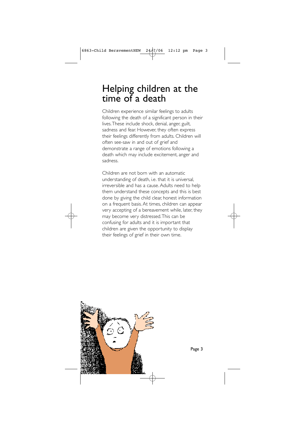## Helping children at the time of a death

Children experience similar feelings to adults following the death of a significant person in their lives.These include shock, denial, anger, guilt, sadness and fear. However, they often express their feelings differently from adults. Children will often see-saw in and out of grief and demonstrate a range of emotions following a death which may include excitement, anger and sadness.

Children are not born with an automatic understanding of death, i.e. that it is universal, irreversible and has a cause.Adults need to help them understand these concepts and this is best done by giving the child clear, honest information on a frequent basis.At times, children can appear very accepting of a bereavement while, later, they may become very distressed.This can be confusing for adults and it is important that children are given the opportunity to display their feelings of grief in their own time.

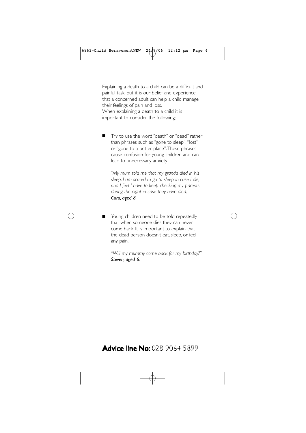Explaining a death to a child can be a difficult and painful task, but it is our belief and experience that a concerned adult can help a child manage their feelings of pain and loss. When explaining a death to a child it is important to consider the following;

• Try to use the word ''death'' or ''dead'' rather than phrases such as ''gone to sleep'', ''lost'' or ''gone to a better place''.These phrases cause confusion for young children and can lead to unnecessary anxiety. ■

*''My mum told me that my granda died in his sleep. I am scared to go to sleep in case I die, and I feel I have to keep checking my parents during the night in case they have died,'' Cara, aged 8.*

Young children need to be told repeatedly that when someone dies they can never come back. It is important to explain that the dead person doesn't eat, sleep, or feel any pain. ■

*''Will my mummy come back for my birthday?'' Steven, aged 6.*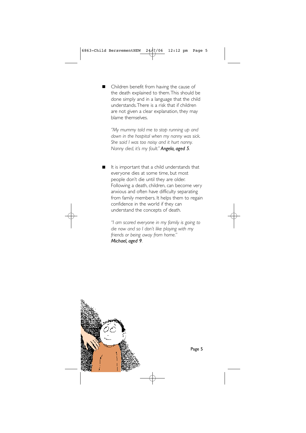• Children benefit from having the cause of the death explained to them.This should be done simply and in a language that the child understands.There is a risk that if children are not given a clear explanation, they may blame themselves. ■

*''My mummy told me to stop running up and down in the hospital when my nanny was sick. She said I was too noisy and it hurt nanny. Nanny died, it's my fault.'' Angela, aged 5.*

It is important that a child understands that everyone dies at some time, but most people don't die until they are older. Following a death, children, can become very anxious and often have difficulty separating from family members. It helps them to regain confidence in the world if they can understand the concepts of death. ■

*''I am scared everyone in my family is going to die now and so I don't like playing with my friends or being away from home.'' Michael, aged 9.*

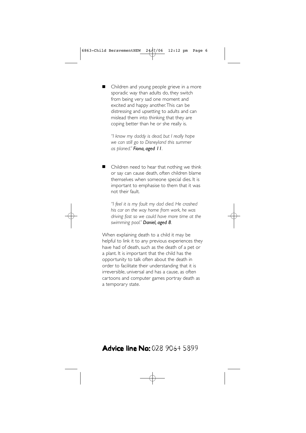• Children and young people grieve in a more sporadic way than adults do, they switch from being very sad one moment and excited and happy another.This can be distressing and upsetting to adults and can mislead them into thinking that they are coping better than he or she really is. ■

*''I know my daddy is dead, but I really hope we can still go to Disneyland this summer as planed.'' Fiona, aged 11.*

• Children need to hear that nothing we think or say can cause death, often children blame themselves when someone special dies. It is important to emphasise to them that it was not their fault. ■

*''I feel it is my fault my dad died. He crashed his car on the way home from work, he was driving fast so we could have more time at the swimming pool.'' Daniel, aged 8.*

When explaining death to a child it may be helpful to link it to any previous experiences they have had of death, such as the death of a pet or a plant. It is important that the child has the opportunity to talk often about the death in order to facilitate their understanding that it is irreversible, universal and has a cause, as often cartoons and computer games portray death as a temporary state.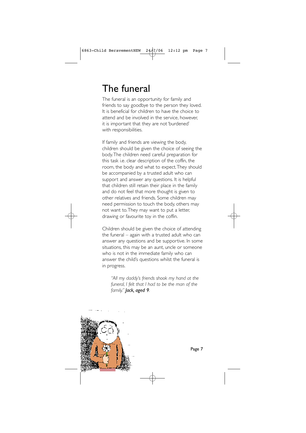# The funeral

The funeral is an opportunity for family and friends to say goodbye to the person they loved. It is beneficial for children to have the choice to attend and be involved in the service, however, it is important that they are not 'burdened' with responsibilities.

If family and friends are viewing the body, children should be given the choice of seeing the body.The children need careful preparation for this task i.e. clear description of the coffin, the room, the body and what to expect.They should be accompanied by a trusted adult who can support and answer any questions. It is helpful that children still retain their place in the family and do not feel that more thought is given to other relatives and friends. Some children may need permission to touch the body, others may not want to.They may want to put a letter, drawing or favourite toy in the coffin.

Children should be given the choice of attending the funeral – again with a trusted adult who can answer any questions and be supportive. In some situations, this may be an aunt, uncle or someone who is not in the immediate family who can answer the child's questions whilst the funeral is in progress.

*''All my daddy's friends shook my hand at the funeral, I felt that I had to be the man of the family.'' Jack, aged 9.*



Page 7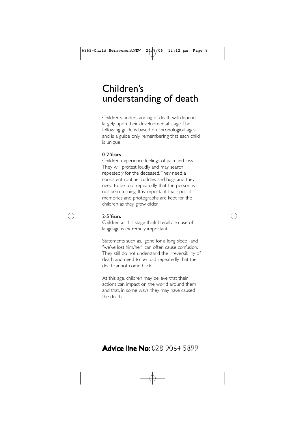# Children's understanding of death

Children's understanding of death will depend largely upon their developmental stage.The following guide is based on chronological ages and is a guide only, remembering that each child is unique.

#### 0-2 Years

Children experience feelings of pain and loss. They will protest loudly and may search repeatedly for the deceased.They need a consistent routine, cuddles and hugs and they need to be told repeatedly that the person will not be returning. It is important that special memories and photographs are kept for the children as they grow older.



Children at this stage think 'literally' so use of language is extremely important.

Statements such as, ''gone for a long sleep'' and ''we've lost him/her'' can often cause confusion. They still do not understand the irreversibility of death and need to be told repeatedly that the dead cannot come back.

At this age, children may believe that their actions can impact on the world around them and that, in some ways, they may have caused the death.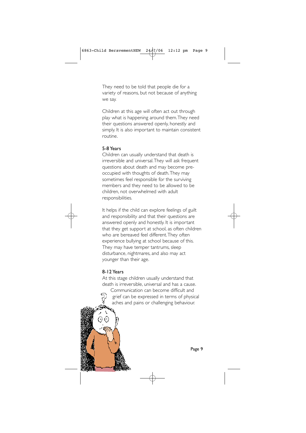They need to be told that people die for a variety of reasons, but not because of anything we say.

Children at this age will often act out through play what is happening around them.They need their questions answered openly, honestly and simply. It is also important to maintain consistent routine.

#### 5-8 Years

Children can usually understand that death is irreversible and universal.They will ask frequent questions about death and may become preoccupied with thoughts of death.They may sometimes feel responsible for the surviving members and they need to be allowed to be children, not overwhelmed with adult responsibilities.

It helps if the child can explore feelings of guilt and responsibility and that their questions are answered openly and honestly. It is important that they get support at school, as often children who are bereaved feel different.They often experience bullying at school because of this. They may have temper tantrums, sleep disturbance, nightmares, and also may act younger than their age.

#### 8-12 Years

At this stage children usually understand that death is irreversible, universal and has a cause. Communication can become difficult and grief can be expressed in terms of physical ý aches and pains or challenging behaviour.



Page 9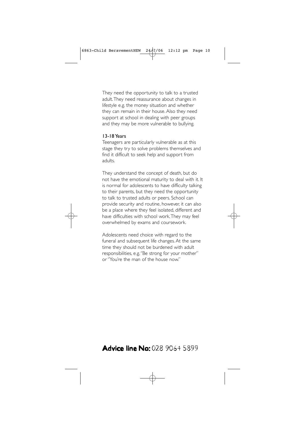They need the opportunity to talk to a trusted adult.They need reassurance about changes in lifestyle e.g. the money situation and whether they can remain in their house.Also they need support at school in dealing with peer groups and they may be more vulnerable to bullying.

#### 13-18 Years

Teenagers are particularly vulnerable as at this stage they try to solve problems themselves and find it difficult to seek help and support from adults.

They understand the concept of death, but do not have the emotional maturity to deal with it. It is normal for adolescents to have difficulty talking to their parents, but they need the opportunity to talk to trusted adults or peers. School can provide security and routine, however, it can also be a place where they feel isolated, different and have difficulties with school work.They may feel overwhelmed by exams and coursework.

Adolescents need choice with regard to the funeral and subsequent life changes.At the same time they should not be burdened with adult responsibilities, e.g. ''Be strong for your mother'' or ''You're the man of the house now.''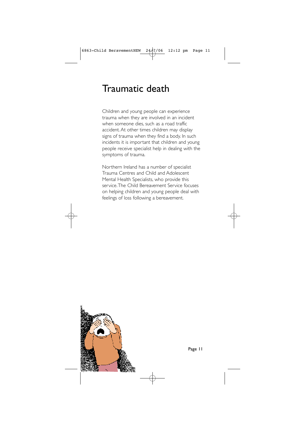## Traumatic death

Children and young people can experience trauma when they are involved in an incident when someone dies, such as a road traffic accident. At other times children may display signs of trauma when they find a body. In such incidents it is important that children and young people receive specialist help in dealing with the symptoms of trauma.

Northern Ireland has a number of specialist Trauma Centres and Child and Adolescent Mental Health Specialists, who provide this service.The Child Bereavement Service focuses on helping children and young people deal with feelings of loss following a bereavement.



Page 11